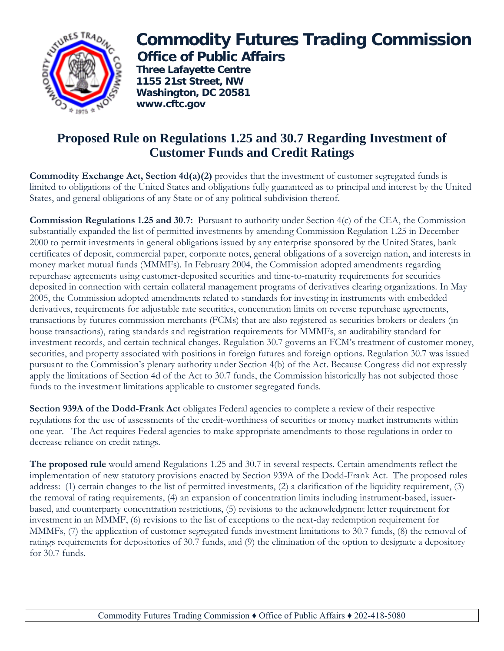

## **Commodity Futures Trading Commission Office of Public Affairs**

 **Three Lafayette Centre 1155 21st Street, NW Washington, DC 20581 www.cftc.gov**

## **Proposed Rule on Regulations 1.25 and 30.7 Regarding Investment of Customer Funds and Credit Ratings**

**Commodity Exchange Act, Section 4d(a)(2)** provides that the investment of customer segregated funds is limited to obligations of the United States and obligations fully guaranteed as to principal and interest by the United States, and general obligations of any State or of any political subdivision thereof.

**Commission Regulations 1.25 and 30.7:** Pursuant to authority under Section 4(c) of the CEA, the Commission substantially expanded the list of permitted investments by amending Commission Regulation 1.25 in December 2000 to permit investments in general obligations issued by any enterprise sponsored by the United States, bank certificates of deposit, commercial paper, corporate notes, general obligations of a sovereign nation, and interests in money market mutual funds (MMMFs). In February 2004, the Commission adopted amendments regarding repurchase agreements using customer-deposited securities and time-to-maturity requirements for securities deposited in connection with certain collateral management programs of derivatives clearing organizations. In May 2005, the Commission adopted amendments related to standards for investing in instruments with embedded derivatives, requirements for adjustable rate securities, concentration limits on reverse repurchase agreements, transactions by futures commission merchants (FCMs) that are also registered as securities brokers or dealers (inhouse transactions), rating standards and registration requirements for MMMFs, an auditability standard for investment records, and certain technical changes. Regulation 30.7 governs an FCM's treatment of customer money, securities, and property associated with positions in foreign futures and foreign options. Regulation 30.7 was issued pursuant to the Commission's plenary authority under Section 4(b) of the Act. Because Congress did not expressly apply the limitations of Section 4d of the Act to 30.7 funds, the Commission historically has not subjected those funds to the investment limitations applicable to customer segregated funds.

**Section 939A of the Dodd-Frank Act** obligates Federal agencies to complete a review of their respective regulations for the use of assessments of the credit-worthiness of securities or money market instruments within one year. The Act requires Federal agencies to make appropriate amendments to those regulations in order to decrease reliance on credit ratings.

**The proposed rule** would amend Regulations 1.25 and 30.7 in several respects. Certain amendments reflect the implementation of new statutory provisions enacted by Section 939A of the Dodd-Frank Act. The proposed rules address: (1) certain changes to the list of permitted investments, (2) a clarification of the liquidity requirement, (3) the removal of rating requirements, (4) an expansion of concentration limits including instrument-based, issuerbased, and counterparty concentration restrictions, (5) revisions to the acknowledgment letter requirement for investment in an MMMF, (6) revisions to the list of exceptions to the next-day redemption requirement for MMMFs, (7) the application of customer segregated funds investment limitations to 30.7 funds, (8) the removal of ratings requirements for depositories of 30.7 funds, and (9) the elimination of the option to designate a depository for 30.7 funds.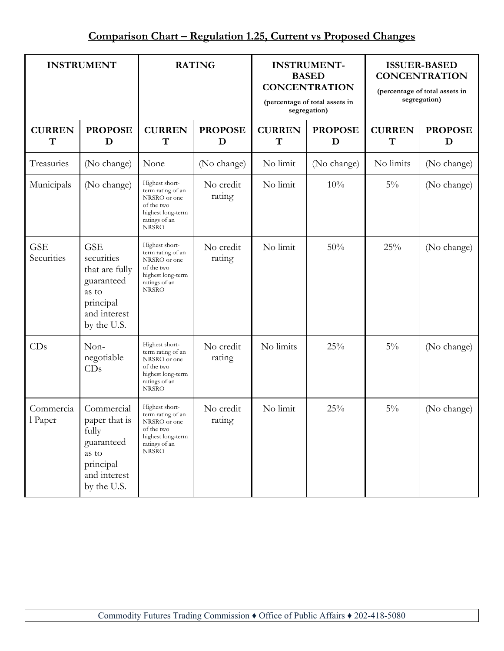| <b>INSTRUMENT</b>        |                                                                                                               | <b>RATING</b>                                                                                                           |                     | <b>INSTRUMENT-</b><br><b>BASED</b><br><b>CONCENTRATION</b><br>(percentage of total assets in<br>segregation) |                     | <b>ISSUER-BASED</b><br><b>CONCENTRATION</b><br>(percentage of total assets in<br>segregation) |                     |
|--------------------------|---------------------------------------------------------------------------------------------------------------|-------------------------------------------------------------------------------------------------------------------------|---------------------|--------------------------------------------------------------------------------------------------------------|---------------------|-----------------------------------------------------------------------------------------------|---------------------|
| <b>CURREN</b><br>T       | <b>PROPOSE</b><br>D                                                                                           | <b>CURREN</b><br>T                                                                                                      | <b>PROPOSE</b><br>D | <b>CURREN</b><br>$\mathbf T$                                                                                 | <b>PROPOSE</b><br>D | <b>CURREN</b><br>T                                                                            | <b>PROPOSE</b><br>D |
| Treasuries               | (No change)                                                                                                   | None                                                                                                                    | (No change)         | No limit                                                                                                     | (No change)         | No limits                                                                                     | (No change)         |
| Municipals               | (No change)                                                                                                   | Highest short-<br>term rating of an<br>NRSRO or one<br>of the two<br>highest long-term<br>ratings of an<br><b>NRSRO</b> | No credit<br>rating | No limit                                                                                                     | 10%                 | $5\%$                                                                                         | (No change)         |
| <b>GSE</b><br>Securities | <b>GSE</b><br>securities<br>that are fully<br>guaranteed<br>as to<br>principal<br>and interest<br>by the U.S. | Highest short-<br>term rating of an<br>NRSRO or one<br>of the two<br>highest long-term<br>ratings of an<br><b>NRSRO</b> | No credit<br>rating | No limit                                                                                                     | 50%                 | 25%                                                                                           | (No change)         |
| CDs                      | Non-<br>negotiable<br>CDs                                                                                     | Highest short-<br>term rating of an<br>NRSRO or one<br>of the two<br>highest long-term<br>ratings of an<br><b>NRSRO</b> | No credit<br>rating | No limits                                                                                                    | 25%                 | $5\%$                                                                                         | (No change)         |
| Commercia<br>l Paper     | Commercial<br>paper that is<br>fully<br>guaranteed<br>as to<br>principal<br>and interest<br>by the U.S.       | Highest short-<br>term rating of an<br>NRSRO or one<br>of the two<br>highest long-term<br>ratings of an<br><b>NRSRO</b> | No credit<br>rating | No limit                                                                                                     | 25%                 | $5\%$                                                                                         | (No change)         |